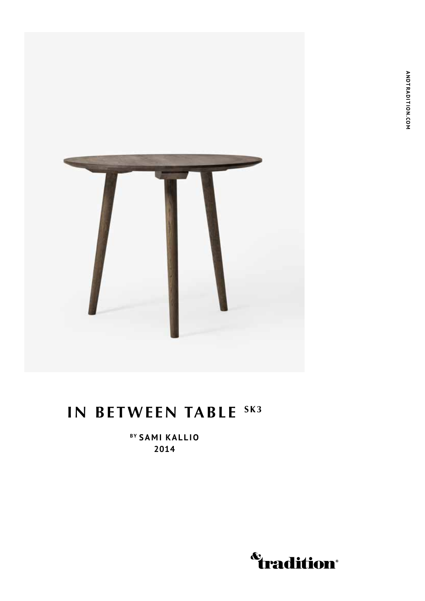

## **IN BETWEEN TABLE SK3**

**By Sami Kallio 2014**